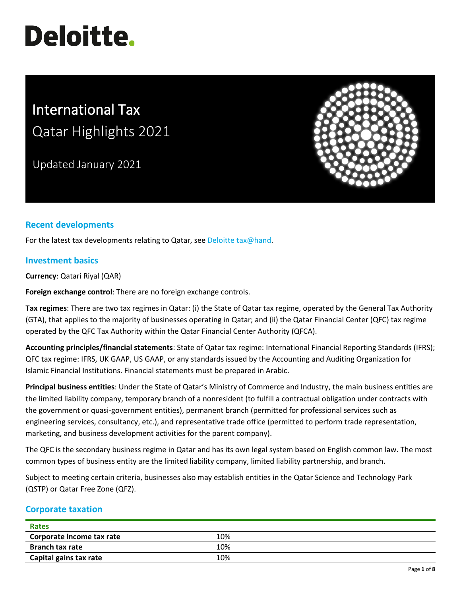# **Deloitte.**

# International Tax Qatar Highlights 2021

Updated January 2021



## **Recent developments**

For the latest tax developments relating to Qatar, see Deloitte tax@hand.

#### **Investment basics**

**Currency**: Qatari Riyal (QAR)

**Foreign exchange control**: There are no foreign exchange controls.

**Tax regimes**: There are two tax regimes in Qatar: (i) the State of Qatar tax regime, operated by the General Tax Authority (GTA), that applies to the majority of businesses operating in Qatar; and (ii) the Qatar Financial Center (QFC) tax regime operated by the QFC Tax Authority within the Qatar Financial Center Authority (QFCA).

**Accounting principles/financial statements**: State of Qatar tax regime: International Financial Reporting Standards (IFRS); QFC tax regime: IFRS, UK GAAP, US GAAP, or any standards issued by the Accounting and Auditing Organization for Islamic Financial Institutions. Financial statements must be prepared in Arabic.

**Principal business entities**: Under the State of Qatar's Ministry of Commerce and Industry, the main business entities are the limited liability company, temporary branch of a nonresident (to fulfill a contractual obligation under contracts with the government or quasi-government entities), permanent branch (permitted for professional services such as engineering services, consultancy, etc.), and representative trade office (permitted to perform trade representation, marketing, and business development activities for the parent company).

The QFC is the secondary business regime in Qatar and has its own legal system based on English common law. The most common types of business entity are the limited liability company, limited liability partnership, and branch.

Subject to meeting certain criteria, businesses also may establish entities in the Qatar Science and Technology Park (QSTP) or Qatar Free Zone (QFZ).

#### **Corporate taxation**

| <b>Rates</b>              |     |  |
|---------------------------|-----|--|
| Corporate income tax rate | 10% |  |
| <b>Branch tax rate</b>    | 10% |  |
| Capital gains tax rate    | 10% |  |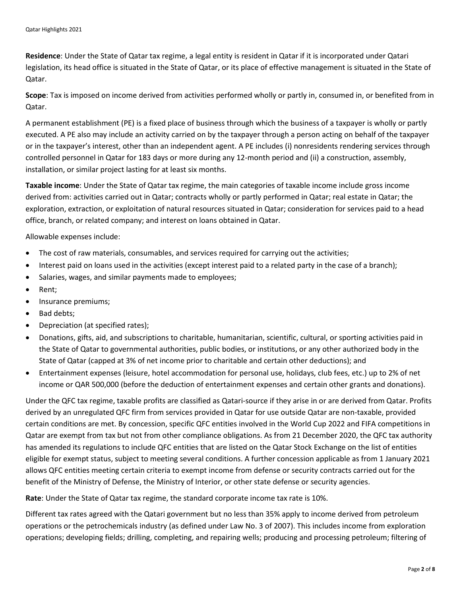**Residence**: Under the State of Qatar tax regime, a legal entity is resident in Qatar if it is incorporated under Qatari legislation, its head office is situated in the State of Qatar, or its place of effective management is situated in the State of Qatar.

**Scope**: Tax is imposed on income derived from activities performed wholly or partly in, consumed in, or benefited from in Qatar.

A permanent establishment (PE) is a fixed place of business through which the business of a taxpayer is wholly or partly executed. A PE also may include an activity carried on by the taxpayer through a person acting on behalf of the taxpayer or in the taxpayer's interest, other than an independent agent. A PE includes (i) nonresidents rendering services through controlled personnel in Qatar for 183 days or more during any 12-month period and (ii) a construction, assembly, installation, or similar project lasting for at least six months.

**Taxable income**: Under the State of Qatar tax regime, the main categories of taxable income include gross income derived from: activities carried out in Qatar; contracts wholly or partly performed in Qatar; real estate in Qatar; the exploration, extraction, or exploitation of natural resources situated in Qatar; consideration for services paid to a head office, branch, or related company; and interest on loans obtained in Qatar.

Allowable expenses include:

- The cost of raw materials, consumables, and services required for carrying out the activities;
- Interest paid on loans used in the activities (except interest paid to a related party in the case of a branch);
- Salaries, wages, and similar payments made to employees;
- Rent;
- Insurance premiums;
- Bad debts;
- Depreciation (at specified rates);
- Donations, gifts, aid, and subscriptions to charitable, humanitarian, scientific, cultural, or sporting activities paid in the State of Qatar to governmental authorities, public bodies, or institutions, or any other authorized body in the State of Qatar (capped at 3% of net income prior to charitable and certain other deductions); and
- Entertainment expenses (leisure, hotel accommodation for personal use, holidays, club fees, etc.) up to 2% of net income or QAR 500,000 (before the deduction of entertainment expenses and certain other grants and donations).

Under the QFC tax regime, taxable profits are classified as Qatari-source if they arise in or are derived from Qatar. Profits derived by an unregulated QFC firm from services provided in Qatar for use outside Qatar are non-taxable, provided certain conditions are met. By concession, specific QFC entities involved in the World Cup 2022 and FIFA competitions in Qatar are exempt from tax but not from other compliance obligations. As from 21 December 2020, the QFC tax authority has amended its regulations to include QFC entities that are listed on the Qatar Stock Exchange on the list of entities eligible for exempt status, subject to meeting several conditions. A further concession applicable as from 1 January 2021 allows QFC entities meeting certain criteria to exempt income from defense or security contracts carried out for the benefit of the Ministry of Defense, the Ministry of Interior, or other state defense or security agencies.

**Rate**: Under the State of Qatar tax regime, the standard corporate income tax rate is 10%.

Different tax rates agreed with the Qatari government but no less than 35% apply to income derived from petroleum operations or the petrochemicals industry (as defined under Law No. 3 of 2007). This includes income from exploration operations; developing fields; drilling, completing, and repairing wells; producing and processing petroleum; filtering of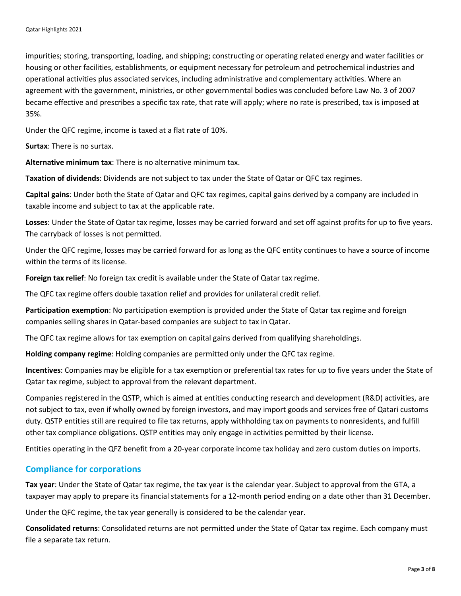impurities; storing, transporting, loading, and shipping; constructing or operating related energy and water facilities or housing or other facilities, establishments, or equipment necessary for petroleum and petrochemical industries and operational activities plus associated services, including administrative and complementary activities. Where an agreement with the government, ministries, or other governmental bodies was concluded before Law No. 3 of 2007 became effective and prescribes a specific tax rate, that rate will apply; where no rate is prescribed, tax is imposed at 35%.

Under the QFC regime, income is taxed at a flat rate of 10%.

**Surtax**: There is no surtax.

**Alternative minimum tax**: There is no alternative minimum tax.

**Taxation of dividends**: Dividends are not subject to tax under the State of Qatar or QFC tax regimes.

**Capital gains**: Under both the State of Qatar and QFC tax regimes, capital gains derived by a company are included in taxable income and subject to tax at the applicable rate.

**Losses**: Under the State of Qatar tax regime, losses may be carried forward and set off against profits for up to five years. The carryback of losses is not permitted.

Under the QFC regime, losses may be carried forward for as long as the QFC entity continues to have a source of income within the terms of its license.

**Foreign tax relief**: No foreign tax credit is available under the State of Qatar tax regime.

The QFC tax regime offers double taxation relief and provides for unilateral credit relief.

**Participation exemption**: No participation exemption is provided under the State of Qatar tax regime and foreign companies selling shares in Qatar-based companies are subject to tax in Qatar.

The QFC tax regime allows for tax exemption on capital gains derived from qualifying shareholdings.

**Holding company regime**: Holding companies are permitted only under the QFC tax regime.

**Incentives**: Companies may be eligible for a tax exemption or preferential tax rates for up to five years under the State of Qatar tax regime, subject to approval from the relevant department.

Companies registered in the QSTP, which is aimed at entities conducting research and development (R&D) activities, are not subject to tax, even if wholly owned by foreign investors, and may import goods and services free of Qatari customs duty. QSTP entities still are required to file tax returns, apply withholding tax on payments to nonresidents, and fulfill other tax compliance obligations. QSTP entities may only engage in activities permitted by their license.

Entities operating in the QFZ benefit from a 20-year corporate income tax holiday and zero custom duties on imports.

#### **Compliance for corporations**

**Tax year**: Under the State of Qatar tax regime, the tax year is the calendar year. Subject to approval from the GTA, a taxpayer may apply to prepare its financial statements for a 12-month period ending on a date other than 31 December.

Under the QFC regime, the tax year generally is considered to be the calendar year.

**Consolidated returns**: Consolidated returns are not permitted under the State of Qatar tax regime. Each company must file a separate tax return.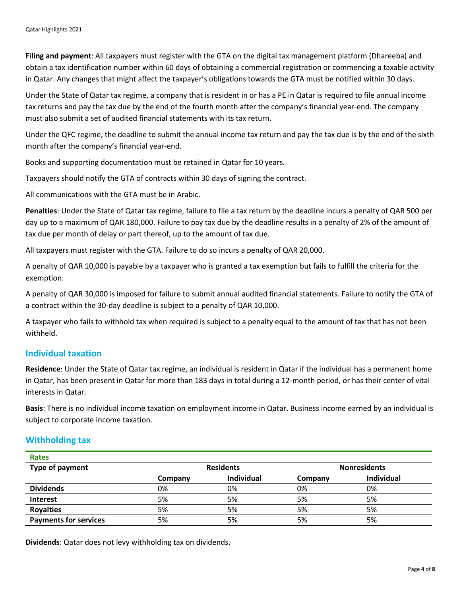**Filing and payment**: All taxpayers must register with the GTA on the digital tax management platform (Dhareeba) and obtain a tax identification number within 60 days of obtaining a commercial registration or commencing a taxable activity in Qatar. Any changes that might affect the taxpayer's obligations towards the GTA must be notified within 30 days.

Under the State of Qatar tax regime, a company that is resident in or has a PE in Qatar is required to file annual income tax returns and pay the tax due by the end of the fourth month after the company's financial year-end. The company must also submit a set of audited financial statements with its tax return.

Under the QFC regime, the deadline to submit the annual income tax return and pay the tax due is by the end of the sixth month after the company's financial year-end.

Books and supporting documentation must be retained in Qatar for 10 years.

Taxpayers should notify the GTA of contracts within 30 days of signing the contract.

All communications with the GTA must be in Arabic.

**Penalties**: Under the State of Qatar tax regime, failure to file a tax return by the deadline incurs a penalty of QAR 500 per day up to a maximum of QAR 180,000. Failure to pay tax due by the deadline results in a penalty of 2% of the amount of tax due per month of delay or part thereof, up to the amount of tax due.

All taxpayers must register with the GTA. Failure to do so incurs a penalty of QAR 20,000.

A penalty of QAR 10,000 is payable by a taxpayer who is granted a tax exemption but fails to fulfill the criteria for the exemption.

A penalty of QAR 30,000 is imposed for failure to submit annual audited financial statements. Failure to notify the GTA of a contract within the 30-day deadline is subject to a penalty of QAR 10,000.

A taxpayer who fails to withhold tax when required is subject to a penalty equal to the amount of tax that has not been withheld.

#### **Individual taxation**

**Residence**: Under the State of Qatar tax regime, an individual is resident in Qatar if the individual has a permanent home in Qatar, has been present in Qatar for more than 183 days in total during a 12-month period, or has their center of vital interests in Qatar.

**Basis**: There is no individual income taxation on employment income in Qatar. Business income earned by an individual is subject to corporate income taxation.

#### **Withholding tax**

| <b>Rates</b>                 |                  |            |                     |            |
|------------------------------|------------------|------------|---------------------|------------|
| Type of payment              | <b>Residents</b> |            | <b>Nonresidents</b> |            |
|                              | Company          | Individual | Company             | Individual |
| <b>Dividends</b>             | 0%               | 0%         | 0%                  | 0%         |
| Interest                     | 5%               | 5%         | 5%                  | 5%         |
| <b>Royalties</b>             | 5%               | 5%         | 5%                  | 5%         |
| <b>Payments for services</b> | 5%               | 5%         | 5%                  | 5%         |

**Dividends**: Qatar does not levy withholding tax on dividends.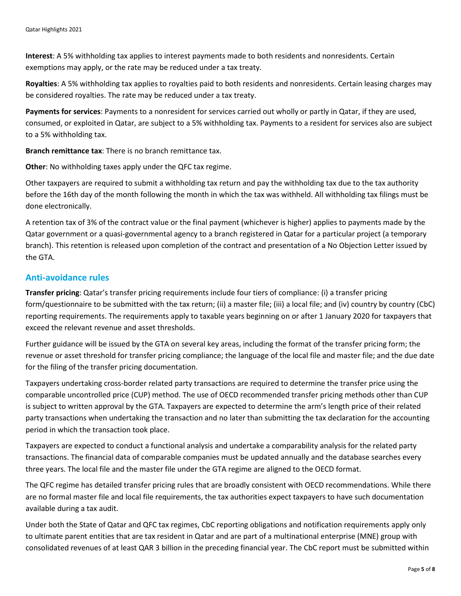**Interest**: A 5% withholding tax applies to interest payments made to both residents and nonresidents. Certain exemptions may apply, or the rate may be reduced under a tax treaty.

**Royalties**: A 5% withholding tax applies to royalties paid to both residents and nonresidents. Certain leasing charges may be considered royalties. The rate may be reduced under a tax treaty.

**Payments for services**: Payments to a nonresident for services carried out wholly or partly in Qatar, if they are used, consumed, or exploited in Qatar, are subject to a 5% withholding tax. Payments to a resident for services also are subject to a 5% withholding tax.

**Branch remittance tax**: There is no branch remittance tax.

**Other**: No withholding taxes apply under the QFC tax regime.

Other taxpayers are required to submit a withholding tax return and pay the withholding tax due to the tax authority before the 16th day of the month following the month in which the tax was withheld. All withholding tax filings must be done electronically.

A retention tax of 3% of the contract value or the final payment (whichever is higher) applies to payments made by the Qatar government or a quasi-governmental agency to a branch registered in Qatar for a particular project (a temporary branch). This retention is released upon completion of the contract and presentation of a No Objection Letter issued by the GTA.

#### **Anti-avoidance rules**

**Transfer pricing**: Qatar's transfer pricing requirements include four tiers of compliance: (i) a transfer pricing form/questionnaire to be submitted with the tax return; (ii) a master file; (iii) a local file; and (iv) country by country (CbC) reporting requirements. The requirements apply to taxable years beginning on or after 1 January 2020 for taxpayers that exceed the relevant revenue and asset thresholds.

Further guidance will be issued by the GTA on several key areas, including the format of the transfer pricing form; the revenue or asset threshold for transfer pricing compliance; the language of the local file and master file; and the due date for the filing of the transfer pricing documentation.

Taxpayers undertaking cross-border related party transactions are required to determine the transfer price using the comparable uncontrolled price (CUP) method. The use of OECD recommended transfer pricing methods other than CUP is subject to written approval by the GTA. Taxpayers are expected to determine the arm's length price of their related party transactions when undertaking the transaction and no later than submitting the tax declaration for the accounting period in which the transaction took place.

Taxpayers are expected to conduct a functional analysis and undertake a comparability analysis for the related party transactions. The financial data of comparable companies must be updated annually and the database searches every three years. The local file and the master file under the GTA regime are aligned to the OECD format.

The QFC regime has detailed transfer pricing rules that are broadly consistent with OECD recommendations. While there are no formal master file and local file requirements, the tax authorities expect taxpayers to have such documentation available during a tax audit.

Under both the State of Qatar and QFC tax regimes, CbC reporting obligations and notification requirements apply only to ultimate parent entities that are tax resident in Qatar and are part of a multinational enterprise (MNE) group with consolidated revenues of at least QAR 3 billion in the preceding financial year. The CbC report must be submitted within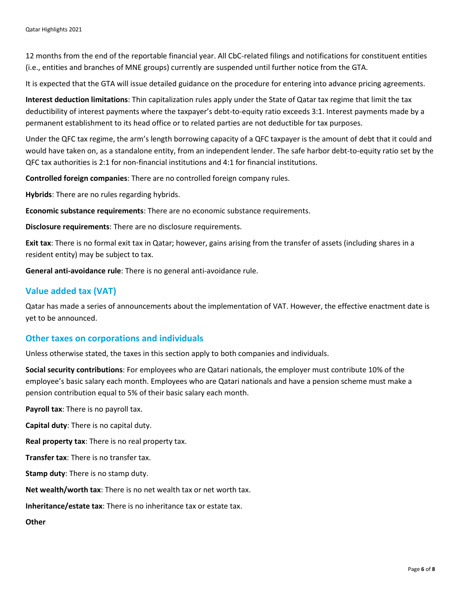12 months from the end of the reportable financial year. All CbC-related filings and notifications for constituent entities (i.e., entities and branches of MNE groups) currently are suspended until further notice from the GTA.

It is expected that the GTA will issue detailed guidance on the procedure for entering into advance pricing agreements.

**Interest deduction limitations**: Thin capitalization rules apply under the State of Qatar tax regime that limit the tax deductibility of interest payments where the taxpayer's debt-to-equity ratio exceeds 3:1. Interest payments made by a permanent establishment to its head office or to related parties are not deductible for tax purposes.

Under the QFC tax regime, the arm's length borrowing capacity of a QFC taxpayer is the amount of debt that it could and would have taken on, as a standalone entity, from an independent lender. The safe harbor debt-to-equity ratio set by the QFC tax authorities is 2:1 for non-financial institutions and 4:1 for financial institutions.

**Controlled foreign companies**: There are no controlled foreign company rules.

**Hybrids**: There are no rules regarding hybrids.

**Economic substance requirements**: There are no economic substance requirements.

**Disclosure requirements**: There are no disclosure requirements.

**Exit tax**: There is no formal exit tax in Qatar; however, gains arising from the transfer of assets (including shares in a resident entity) may be subject to tax.

**General anti-avoidance rule**: There is no general anti-avoidance rule.

### **Value added tax (VAT)**

Qatar has made a series of announcements about the implementation of VAT. However, the effective enactment date is yet to be announced.

#### **Other taxes on corporations and individuals**

Unless otherwise stated, the taxes in this section apply to both companies and individuals.

**Social security contributions**: For employees who are Qatari nationals, the employer must contribute 10% of the employee's basic salary each month. Employees who are Qatari nationals and have a pension scheme must make a pension contribution equal to 5% of their basic salary each month.

**Payroll tax**: There is no payroll tax.

**Capital duty**: There is no capital duty.

**Real property tax**: There is no real property tax.

**Transfer tax**: There is no transfer tax.

**Stamp duty**: There is no stamp duty.

**Net wealth/worth tax**: There is no net wealth tax or net worth tax.

**Inheritance/estate tax**: There is no inheritance tax or estate tax.

**Other**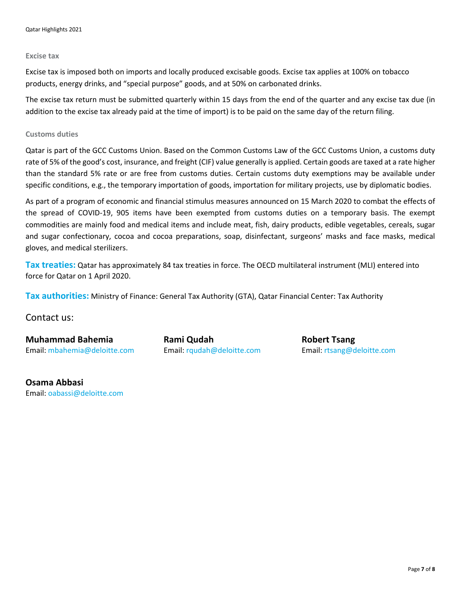#### **Excise tax**

Excise tax is imposed both on imports and locally produced excisable goods. Excise tax applies at 100% on tobacco products, energy drinks, and "special purpose" goods, and at 50% on carbonated drinks.

The excise tax return must be submitted quarterly within 15 days from the end of the quarter and any excise tax due (in addition to the excise tax already paid at the time of import) is to be paid on the same day of the return filing.

#### **Customs duties**

Qatar is part of the GCC Customs Union. Based on the Common Customs Law of the GCC Customs Union, a customs duty rate of 5% of the good's cost, insurance, and freight (CIF) value generally is applied. Certain goods are taxed at a rate higher than the standard 5% rate or are free from customs duties. Certain customs duty exemptions may be available under specific conditions, e.g., the temporary importation of goods, importation for military projects, use by diplomatic bodies.

As part of a program of economic and financial stimulus measures announced on 15 March 2020 to combat the effects of the spread of COVID-19, 905 items have been exempted from customs duties on a temporary basis. The exempt commodities are mainly food and medical items and include meat, fish, dairy products, edible vegetables, cereals, sugar and sugar confectionary, cocoa and cocoa preparations, soap, disinfectant, surgeons' masks and face masks, medical gloves, and medical sterilizers.

**Tax treaties:** Qatar has approximately 84 tax treaties in force. The OECD multilateral instrument (MLI) entered into force for Qatar on 1 April 2020.

**Tax authorities:** Ministry of Finance: General Tax Authority (GTA), Qatar Financial Center: Tax Authority

Contact us:

**Muhammad Bahemia Rami Qudah Rami American Robert Tsang** Email: [mbahemia@deloitte.com](mailto:mbahemia@deloitte.com) Email: [rqudah@deloitte.com](mailto:rqudah@deloitte.com) Email: [rtsang@deloitte.com](mailto:rtsang@deloitte.com)

**Osama Abbasi** Email: [oabassi@deloitte.com](mailto:oabassi@deloitte.com)